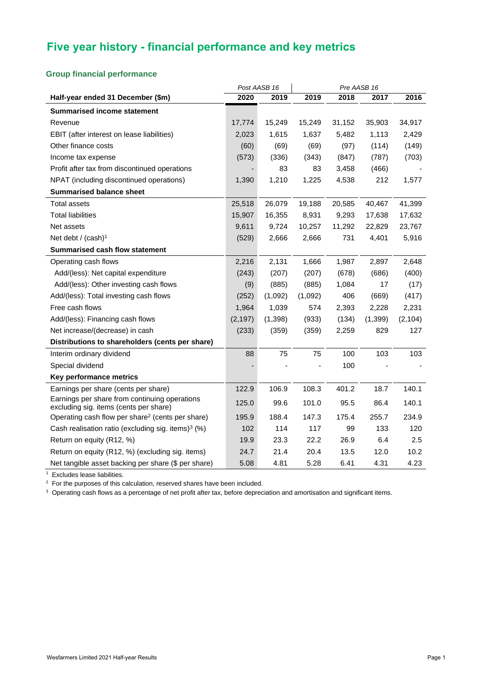# **Five year history - financial performance and key metrics**

### **Group financial performance**

|                                                                                         |          | Post AASB 16 | Pre AASB 16 |        |         |          |
|-----------------------------------------------------------------------------------------|----------|--------------|-------------|--------|---------|----------|
| Half-year ended 31 December (\$m)                                                       | 2020     | 2019         | 2019        | 2018   | 2017    | 2016     |
| <b>Summarised income statement</b>                                                      |          |              |             |        |         |          |
| Revenue                                                                                 | 17,774   | 15,249       | 15,249      | 31,152 | 35,903  | 34,917   |
| EBIT (after interest on lease liabilities)                                              | 2,023    | 1,615        | 1,637       | 5,482  | 1,113   | 2,429    |
| Other finance costs                                                                     | (60)     | (69)         | (69)        | (97)   | (114)   | (149)    |
| Income tax expense                                                                      | (573)    | (336)        | (343)       | (847)  | (787)   | (703)    |
| Profit after tax from discontinued operations                                           |          | 83           | 83          | 3,458  | (466)   |          |
| NPAT (including discontinued operations)                                                | 1,390    | 1,210        | 1,225       | 4,538  | 212     | 1,577    |
| <b>Summarised balance sheet</b>                                                         |          |              |             |        |         |          |
| <b>Total assets</b>                                                                     | 25,518   | 26,079       | 19,188      | 20,585 | 40,467  | 41,399   |
| <b>Total liabilities</b>                                                                | 15,907   | 16,355       | 8,931       | 9,293  | 17,638  | 17,632   |
| Net assets                                                                              | 9,611    | 9,724        | 10,257      | 11,292 | 22,829  | 23,767   |
| Net debt / $(cash)1$                                                                    | (529)    | 2,666        | 2,666       | 731    | 4,401   | 5,916    |
| <b>Summarised cash flow statement</b>                                                   |          |              |             |        |         |          |
| Operating cash flows                                                                    | 2,216    | 2,131        | 1,666       | 1,987  | 2,897   | 2,648    |
| Add/(less): Net capital expenditure                                                     | (243)    | (207)        | (207)       | (678)  | (686)   | (400)    |
| Add/(less): Other investing cash flows                                                  | (9)      | (885)        | (885)       | 1,084  | 17      | (17)     |
| Add/(less): Total investing cash flows                                                  | (252)    | (1,092)      | (1,092)     | 406    | (669)   | (417)    |
| Free cash flows                                                                         | 1,964    | 1,039        | 574         | 2,393  | 2,228   | 2,231    |
| Add/(less): Financing cash flows                                                        | (2, 197) | (1, 398)     | (933)       | (134)  | (1,399) | (2, 104) |
| Net increase/(decrease) in cash                                                         | (233)    | (359)        | (359)       | 2,259  | 829     | 127      |
| Distributions to shareholders (cents per share)                                         |          |              |             |        |         |          |
| Interim ordinary dividend                                                               | 88       | 75           | 75          | 100    | 103     | 103      |
| Special dividend                                                                        |          |              |             | 100    |         |          |
| Key performance metrics                                                                 |          |              |             |        |         |          |
| Earnings per share (cents per share)                                                    | 122.9    | 106.9        | 108.3       | 401.2  | 18.7    | 140.1    |
| Earnings per share from continuing operations<br>excluding sig. items (cents per share) | 125.0    | 99.6         | 101.0       | 95.5   | 86.4    | 140.1    |
| Operating cash flow per share <sup>2</sup> (cents per share)                            | 195.9    | 188.4        | 147.3       | 175.4  | 255.7   | 234.9    |
| Cash realisation ratio (excluding sig. items) <sup>3</sup> (%)                          | 102      | 114          | 117         | 99     | 133     | 120      |
| Return on equity (R12, %)                                                               | 19.9     | 23.3         | 22.2        | 26.9   | 6.4     | 2.5      |
| Return on equity (R12, %) (excluding sig. items)                                        | 24.7     | 21.4         | 20.4        | 13.5   | 12.0    | 10.2     |
| Net tangible asset backing per share (\$ per share)                                     | 5.08     | 4.81         | 5.28        | 6.41   | 4.31    | 4.23     |

<sup>1</sup> Excludes lease liabilities.

 $2$  For the purposes of this calculation, reserved shares have been included.

<sup>3</sup> Operating cash flows as a percentage of net profit after tax, before depreciation and amortisation and significant items.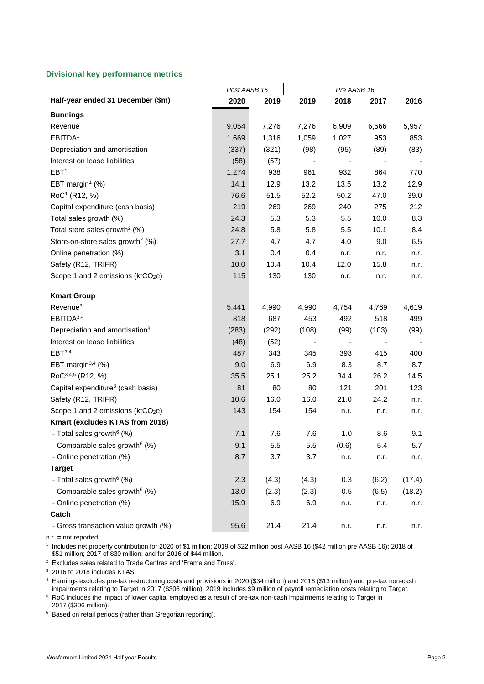#### **Divisional key performance metrics**

|                                               | Post AASB 16 |       | Pre AASB 16 |       |       |        |  |  |
|-----------------------------------------------|--------------|-------|-------------|-------|-------|--------|--|--|
| Half-year ended 31 December (\$m)             | 2020         | 2019  | 2019        | 2018  | 2017  | 2016   |  |  |
| <b>Bunnings</b>                               |              |       |             |       |       |        |  |  |
| Revenue                                       | 9,054        | 7,276 | 7,276       | 6,909 | 6,566 | 5,957  |  |  |
| EBITDA <sup>1</sup>                           | 1,669        | 1,316 | 1,059       | 1,027 | 953   | 853    |  |  |
| Depreciation and amortisation                 | (337)        | (321) | (98)        | (95)  | (89)  | (83)   |  |  |
| Interest on lease liabilities                 | (58)         | (57)  |             |       |       |        |  |  |
| EBT <sup>1</sup>                              | 1,274        | 938   | 961         | 932   | 864   | 770    |  |  |
| EBT margin <sup>1</sup> $(\%)$                | 14.1         | 12.9  | 13.2        | 13.5  | 13.2  | 12.9   |  |  |
| RoC <sup>1</sup> (R12, %)                     | 76.6         | 51.5  | 52.2        | 50.2  | 47.0  | 39.0   |  |  |
| Capital expenditure (cash basis)              | 219          | 269   | 269         | 240   | 275   | 212    |  |  |
| Total sales growth (%)                        | 24.3         | 5.3   | 5.3         | 5.5   | 10.0  | 8.3    |  |  |
| Total store sales growth <sup>2</sup> (%)     | 24.8         | 5.8   | 5.8         | 5.5   | 10.1  | 8.4    |  |  |
| Store-on-store sales growth <sup>2</sup> (%)  | 27.7         | 4.7   | 4.7         | 4.0   | 9.0   | 6.5    |  |  |
| Online penetration (%)                        | 3.1          | 0.4   | 0.4         | n.r.  | n.r.  | n.r.   |  |  |
| Safety (R12, TRIFR)                           | 10.0         | 10.4  | 10.4        | 12.0  | 15.8  | n.r.   |  |  |
| Scope 1 and 2 emissions (ktCO <sub>2</sub> e) | 115          | 130   | 130         | n.r.  | n.r.  | n.r.   |  |  |
| <b>Kmart Group</b>                            |              |       |             |       |       |        |  |  |
| Revenue <sup>3</sup>                          | 5,441        | 4,990 | 4,990       | 4,754 | 4,769 | 4,619  |  |  |
| EBITDA <sup>3,4</sup>                         | 818          | 687   | 453         | 492   | 518   | 499    |  |  |
| Depreciation and amortisation <sup>3</sup>    | (283)        | (292) | (108)       | (99)  | (103) | (99)   |  |  |
| Interest on lease liabilities                 | (48)         | (52)  |             |       |       |        |  |  |
| EBT <sup>3,4</sup>                            | 487          | 343   | 345         | 393   | 415   | 400    |  |  |
| EBT margin $3,4$ (%)                          | 9.0          | 6.9   | 6.9         | 8.3   | 8.7   | 8.7    |  |  |
| $RoC^{3,4,5}$ (R12, %)                        | 35.5         | 25.1  | 25.2        | 34.4  | 26.2  | 14.5   |  |  |
| Capital expenditure <sup>3</sup> (cash basis) | 81           | 80    | 80          | 121   | 201   | 123    |  |  |
| Safety (R12, TRIFR)                           | 10.6         | 16.0  | 16.0        | 21.0  | 24.2  | n.r.   |  |  |
| Scope 1 and 2 emissions (ktCO2e)              | 143          | 154   | 154         | n.r.  | n.r.  | n.r.   |  |  |
| Kmart (excludes KTAS from 2018)               |              |       |             |       |       |        |  |  |
| - Total sales growth <sup>6</sup> (%)         | 7.1          | 7.6   | 7.6         | 1.0   | 8.6   | 9.1    |  |  |
| - Comparable sales growth <sup>6</sup> (%)    | 9.1          | 5.5   | 5.5         | (0.6) | 5.4   | 5.7    |  |  |
| - Online penetration (%)                      | 8.7          | 3.7   | 3.7         | n.r.  | n.r.  | n.r.   |  |  |
| <b>Target</b>                                 |              |       |             |       |       |        |  |  |
| - Total sales growth <sup>6</sup> (%)         | 2.3          | (4.3) | (4.3)       | 0.3   | (6.2) | (17.4) |  |  |
| - Comparable sales growth <sup>6</sup> (%)    | 13.0         | (2.3) | (2.3)       | 0.5   | (6.5) | (18.2) |  |  |
| - Online penetration (%)                      | 15.9         | 6.9   | 6.9         | n.r.  | n.r.  | n.r.   |  |  |
| Catch                                         |              |       |             |       |       |        |  |  |
| - Gross transaction value growth (%)          | 95.6         | 21.4  | 21.4        | n.r.  | n.r.  | n.r.   |  |  |

n.r. = not reported

1 Includes net property contribution for 2020 of \$1 million; 2019 of \$22 million post AASB 16 (\$42 million pre AASB 16); 2018 of \$51 million; 2017 of \$30 million; and for 2016 of \$44 million.

<sup>2</sup> Excludes sales related to Trade Centres and 'Frame and Truss'.

<sup>3</sup> 2016 to 2018 includes KTAS.

<sup>4</sup> Earnings excludes pre-tax restructuring costs and provisions in 2020 (\$34 million) and 2016 (\$13 million) and pre-tax non-cash impairments relating to Target in 2017 (\$306 million). 2019 includes \$9 million of payroll remediation costs relating to Target.

5 RoC includes the impact of lower capital employed as a result of pre-tax non-cash impairments relating to Target in 2017 (\$306 million).

<sup>6</sup> Based on retail periods (rather than Gregorian reporting).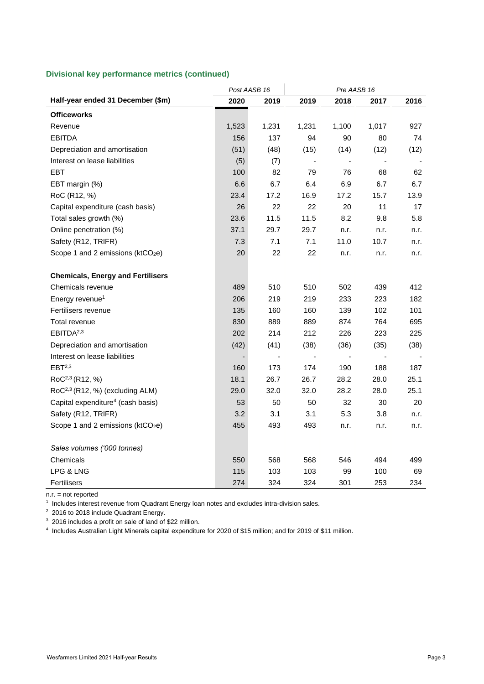#### **Divisional key performance metrics (continued)**

|                                               | Post AASB 16 |              | Pre AASB 16              |                          |                          |      |
|-----------------------------------------------|--------------|--------------|--------------------------|--------------------------|--------------------------|------|
| Half-year ended 31 December (\$m)             | 2020         | 2019         | 2019                     | 2018                     | 2017                     | 2016 |
| <b>Officeworks</b>                            |              |              |                          |                          |                          |      |
| Revenue                                       | 1,523        | 1,231        | 1,231                    | 1,100                    | 1,017                    | 927  |
| <b>EBITDA</b>                                 | 156          | 137          | 94                       | 90                       | 80                       | 74   |
| Depreciation and amortisation                 | (51)         | (48)         | (15)                     | (14)                     | (12)                     | (12) |
| Interest on lease liabilities                 | (5)          | (7)          | $\overline{\phantom{a}}$ | $\overline{\phantom{a}}$ | $\overline{\phantom{a}}$ |      |
| EBT                                           | 100          | 82           | 79                       | 76                       | 68                       | 62   |
| EBT margin (%)                                | 6.6          | 6.7          | 6.4                      | 6.9                      | 6.7                      | 6.7  |
| RoC (R12, %)                                  | 23.4         | 17.2         | 16.9                     | 17.2                     | 15.7                     | 13.9 |
| Capital expenditure (cash basis)              | 26           | 22           | 22                       | 20                       | 11                       | 17   |
| Total sales growth (%)                        | 23.6         | 11.5         | 11.5                     | 8.2                      | 9.8                      | 5.8  |
| Online penetration (%)                        | 37.1         | 29.7         | 29.7                     | n.r.                     | n.r.                     | n.r. |
| Safety (R12, TRIFR)                           | 7.3          | 7.1          | 7.1                      | 11.0                     | 10.7                     | n.r. |
| Scope 1 and 2 emissions (ktCO <sub>2</sub> e) | 20           | 22           | 22                       | n.r.                     | n.r.                     | n.r. |
| <b>Chemicals, Energy and Fertilisers</b>      |              |              |                          |                          |                          |      |
| Chemicals revenue                             | 489          | 510          | 510                      | 502                      | 439                      | 412  |
| Energy revenue <sup>1</sup>                   | 206          | 219          | 219                      | 233                      | 223                      | 182  |
| Fertilisers revenue                           | 135          | 160          | 160                      | 139                      | 102                      | 101  |
| Total revenue                                 | 830          | 889          | 889                      | 874                      | 764                      | 695  |
| EBITDA <sup>2,3</sup>                         | 202          | 214          | 212                      | 226                      | 223                      | 225  |
| Depreciation and amortisation                 | (42)         | (41)         | (38)                     | (36)                     | (35)                     | (38) |
| Interest on lease liabilities                 |              | $\centerdot$ | $\overline{\phantom{a}}$ |                          | $\blacksquare$           |      |
| EBT <sup>2,3</sup>                            | 160          | 173          | 174                      | 190                      | 188                      | 187  |
| $RoC^{2,3}$ (R12, %)                          | 18.1         | 26.7         | 26.7                     | 28.2                     | 28.0                     | 25.1 |
| RoC <sup>2,3</sup> (R12, %) (excluding ALM)   | 29.0         | 32.0         | 32.0                     | 28.2                     | 28.0                     | 25.1 |
| Capital expenditure <sup>4</sup> (cash basis) | 53           | 50           | 50                       | 32                       | 30                       | 20   |
| Safety (R12, TRIFR)                           | 3.2          | 3.1          | 3.1                      | 5.3                      | 3.8                      | n.r. |
| Scope 1 and 2 emissions (ktCO <sub>2</sub> e) | 455          | 493          | 493                      | n.r.                     | n.r.                     | n.r. |
| Sales volumes ('000 tonnes)                   |              |              |                          |                          |                          |      |
| Chemicals                                     | 550          | 568          | 568                      | 546                      | 494                      | 499  |
| LPG & LNG                                     | 115          | 103          | 103                      | 99                       | 100                      | 69   |
| Fertilisers                                   | 274          | 324          | 324                      | 301                      | 253                      | 234  |

 $n.r. = not reported$ 

1 Includes interest revenue from Quadrant Energy loan notes and excludes intra-division sales.

<sup>2</sup> 2016 to 2018 include Quadrant Energy.

<sup>3</sup> 2016 includes a profit on sale of land of \$22 million.

4 Includes Australian Light Minerals capital expenditure for 2020 of \$15 million; and for 2019 of \$11 million.